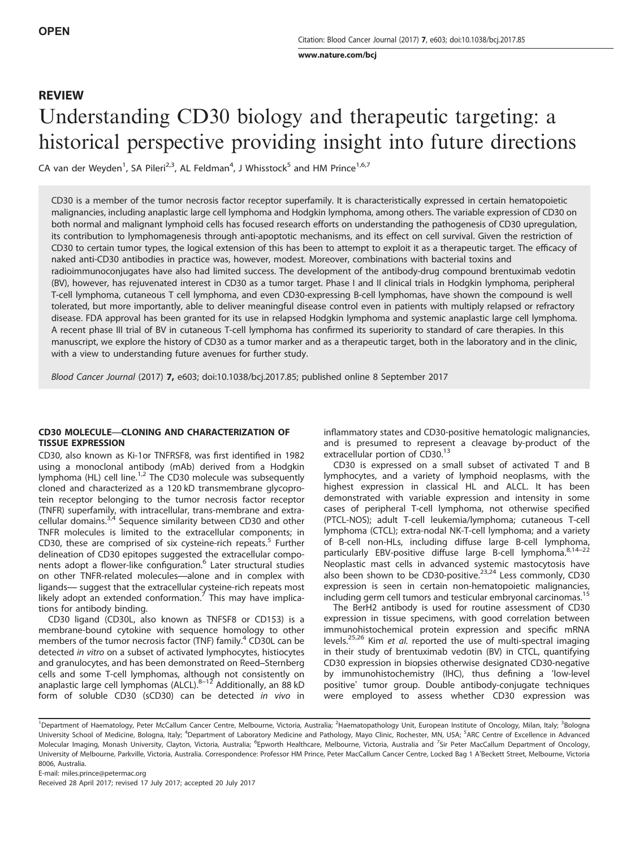www.nature.com/bcj

# REVIEW Understanding CD30 biology and therapeutic targeting: a historical perspective providing insight into future directions

CA van der Weyden<sup>1</sup>, SA Pileri<sup>2,3</sup>, AL Feldman<sup>4</sup>, J Whisstock<sup>5</sup> and HM Prince<sup>1,6,7</sup>

CD30 is a member of the tumor necrosis factor receptor superfamily. It is characteristically expressed in certain hematopoietic malignancies, including anaplastic large cell lymphoma and Hodgkin lymphoma, among others. The variable expression of CD30 on both normal and malignant lymphoid cells has focused research efforts on understanding the pathogenesis of CD30 upregulation, its contribution to lymphomagenesis through anti-apoptotic mechanisms, and its effect on cell survival. Given the restriction of CD30 to certain tumor types, the logical extension of this has been to attempt to exploit it as a therapeutic target. The efficacy of naked anti-CD30 antibodies in practice was, however, modest. Moreover, combinations with bacterial toxins and

radioimmunoconjugates have also had limited success. The development of the antibody-drug compound brentuximab vedotin (BV), however, has rejuvenated interest in CD30 as a tumor target. Phase I and II clinical trials in Hodgkin lymphoma, peripheral T-cell lymphoma, cutaneous T cell lymphoma, and even CD30-expressing B-cell lymphomas, have shown the compound is well tolerated, but more importantly, able to deliver meaningful disease control even in patients with multiply relapsed or refractory disease. FDA approval has been granted for its use in relapsed Hodgkin lymphoma and systemic anaplastic large cell lymphoma. A recent phase III trial of BV in cutaneous T-cell lymphoma has confirmed its superiority to standard of care therapies. In this manuscript, we explore the history of CD30 as a tumor marker and as a therapeutic target, both in the laboratory and in the clinic, with a view to understanding future avenues for further study.

Blood Cancer Journal (2017) 7, e603; doi:10.1038/bcj.2017.85; published online 8 September 2017

# CD30 MOLECULE—CLONING AND CHARACTERIZATION OF TISSUE EXPRESSION

CD30, also known as Ki-1or TNFRSF8, was first identified in 1982 using a monoclonal antibody (mAb) derived from a Hodgkin lymphoma (HL) cell line.<sup>1,2</sup> The CD30 molecule was subsequently cloned and characterized as a 120 kD transmembrane glycoprotein receptor belonging to the tumor necrosis factor receptor (TNFR) superfamily, with intracellular, trans-membrane and extracellular domains.<sup>3,4</sup> Sequence similarity between CD30 and other TNFR molecules is limited to the extracellular components; in CD30, these are comprised of six cysteine-rich repeats. $5$  Further delineation of CD30 epitopes suggested the extracellular components adopt a flower-like configuration.<sup>6</sup> Later structural studies on other TNFR-related molecules—alone and in complex with ligands— suggest that the extracellular cysteine-rich repeats most likely adopt an extended conformation.<sup>7</sup> This may have implications for antibody binding.

CD30 ligand (CD30L, also known as TNFSF8 or CD153) is a membrane-bound cytokine with sequence homology to other members of the tumor necrosis factor (TNF) family.<sup>4</sup> CD30L can be detected in vitro on a subset of activated lymphocytes, histiocytes and granulocytes, and has been demonstrated on Reed–Sternberg cells and some T-cell lymphomas, although not consistently on<br>anaplastic large cell lymphomas (ALCL).<sup>8–12</sup> Additionally, an 88 kD form of soluble CD30 (sCD30) can be detected in vivo in inflammatory states and CD30-positive hematologic malignancies, and is presumed to represent a cleavage by-product of the extracellular portion of CD30.<sup>13</sup>

CD30 is expressed on a small subset of activated T and B lymphocytes, and a variety of lymphoid neoplasms, with the highest expression in classical HL and ALCL. It has been demonstrated with variable expression and intensity in some cases of peripheral T-cell lymphoma, not otherwise specified (PTCL-NOS); adult T-cell leukemia/lymphoma; cutaneous T-cell lymphoma (CTCL); extra-nodal NK-T-cell lymphoma; and a variety of B-cell non-HLs, including diffuse large B-cell lymphoma, particularly EBV-positive diffuse large B-cell lymphoma.<sup>8,14-22</sup> Neoplastic mast cells in advanced systemic mastocytosis have also been shown to be CD30-positive.<sup>23,24</sup> Less commonly, CD30 expression is seen in certain non-hematopoietic malignancies, including germ cell tumors and testicular embryonal carcinomas.<sup>15</sup>

The BerH2 antibody is used for routine assessment of CD30 expression in tissue specimens, with good correlation between immunohistochemical protein expression and specific mRNA levels.<sup>25,26</sup> Kim et al. reported the use of multi-spectral imaging in their study of brentuximab vedotin (BV) in CTCL, quantifying CD30 expression in biopsies otherwise designated CD30-negative by immunohistochemistry (IHC), thus defining a 'low-level positive' tumor group. Double antibody-conjugate techniques were employed to assess whether CD30 expression was

E-mail: miles.prince@petermac.org

Received 28 April 2017; revised 17 July 2017; accepted 20 July 2017

<sup>&</sup>lt;sup>1</sup>Department of Haematology, Peter McCallum Cancer Centre, Melbourne, Victoria, Australia; <sup>2</sup>Haematopathology Unit, European Institute of Oncology, Milan, Italy; <sup>3</sup>Bologna University School of Medicine, Bologna, Italy; <sup>4</sup>Department of Laboratory Medicine and Pathology, Mayo Clinic, Rochester, MN, USA; <sup>5</sup>ARC Centre of Excellence in Advanced Molecular Imaging, Monash University, Clayton, Victoria, Australia; <sup>6</sup>Epworth Healthcare, Melbourne, Victoria, Australia and <sup>7</sup>Sir Peter MacCallum Department of Oncology, University of Melbourne, Parkville, Victoria, Australia. Correspondence: Professor HM Prince, Peter MacCallum Cancer Centre, Locked Bag 1 A'Beckett Street, Melbourne, Victoria 8006, Australia.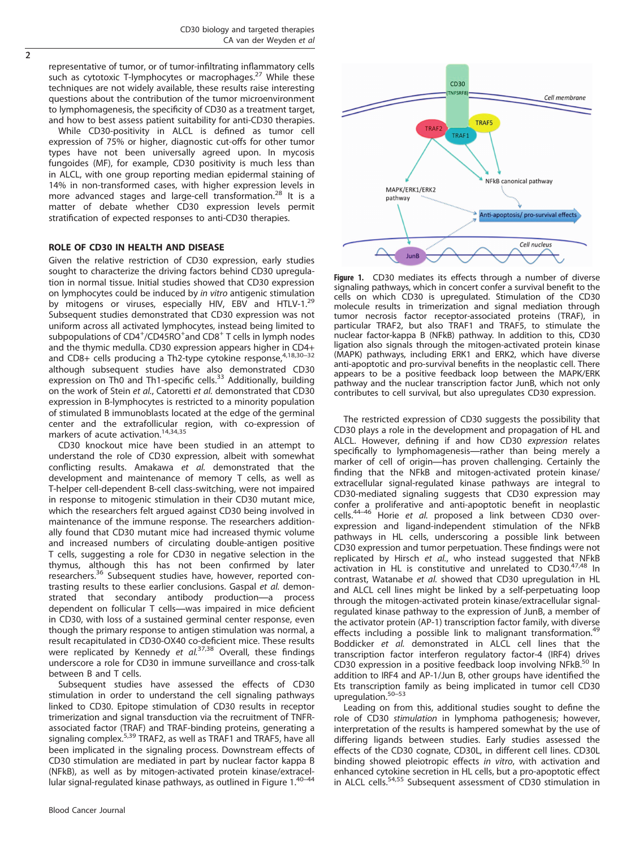representative of tumor, or of tumor-infiltrating inflammatory cells such as cytotoxic T-lymphocytes or macrophages.<sup>27</sup> While these techniques are not widely available, these results raise interesting questions about the contribution of the tumor microenvironment to lymphomagenesis, the specificity of CD30 as a treatment target, and how to best assess patient suitability for anti-CD30 therapies.

While CD30-positivity in ALCL is defined as tumor cell expression of 75% or higher, diagnostic cut-offs for other tumor types have not been universally agreed upon. In mycosis fungoides (MF), for example, CD30 positivity is much less than in ALCL, with one group reporting median epidermal staining of 14% in non-transformed cases, with higher expression levels in more advanced stages and large-cell transformation.<sup>28</sup> It is a matter of debate whether CD30 expression levels permit stratification of expected responses to anti-CD30 therapies.

# ROLE OF CD30 IN HEALTH AND DISEASE

Given the relative restriction of CD30 expression, early studies sought to characterize the driving factors behind CD30 upregulation in normal tissue. Initial studies showed that CD30 expression on lymphocytes could be induced by in vitro antigenic stimulation by mitogens or viruses, especially HIV, EBV and HTLV-1.<sup>29</sup> Subsequent studies demonstrated that CD30 expression was not uniform across all activated lymphocytes, instead being limited to subpopulations of CD4<sup>+</sup>/CD45RO<sup>+</sup>and CD8<sup>+</sup> T cells in lymph nodes and the thymic medulla. CD30 expression appears higher in CD4+ and CD8+ cells producing a Th2-type cytokine response, $4,18,30-32$ although subsequent studies have also demonstrated CD30 expression on Th0 and Th1-specific cells.<sup>33</sup> Additionally, building on the work of Stein et al., Catoretti et al. demonstrated that CD30 expression in B-lymphocytes is restricted to a minority population of stimulated B immunoblasts located at the edge of the germinal center and the extrafollicular region, with co-expression of markers of acute activation.<sup>14,34,35</sup>

CD30 knockout mice have been studied in an attempt to understand the role of CD30 expression, albeit with somewhat conflicting results. Amakawa et al. demonstrated that the development and maintenance of memory T cells, as well as T-helper cell-dependent B-cell class-switching, were not impaired in response to mitogenic stimulation in their CD30 mutant mice, which the researchers felt argued against CD30 being involved in maintenance of the immune response. The researchers additionally found that CD30 mutant mice had increased thymic volume and increased numbers of circulating double-antigen positive T cells, suggesting a role for CD30 in negative selection in the thymus, although this has not been confirmed by later researchers.<sup>36</sup> Subsequent studies have, however, reported contrasting results to these earlier conclusions. Gaspal et al. demonstrated that secondary antibody production—a process dependent on follicular T cells—was impaired in mice deficient in CD30, with loss of a sustained germinal center response, even though the primary response to antigen stimulation was normal, a result recapitulated in CD30-OX40 co-deficient mice. These results were replicated by Kennedy et  $aL^{37,38}$  Overall, these findings underscore a role for CD30 in immune surveillance and cross-talk between B and T cells.

Subsequent studies have assessed the effects of CD30 stimulation in order to understand the cell signaling pathways linked to CD30. Epitope stimulation of CD30 results in receptor trimerization and signal transduction via the recruitment of TNFRassociated factor (TRAF) and TRAF-binding proteins, generating a signaling complex.<sup>5,39</sup> TRAF2, as well as TRAF1 and TRAF5, have all been implicated in the signaling process. Downstream effects of CD30 stimulation are mediated in part by nuclear factor kappa B (NFkB), as well as by mitogen-activated protein kinase/extracellular signal-regulated kinase pathways, as outlined in Figure 1.40-44



Figure 1. CD30 mediates its effects through a number of diverse signaling pathways, which in concert confer a survival benefit to the cells on which CD30 is upregulated. Stimulation of the CD30 molecule results in trimerization and signal mediation through tumor necrosis factor receptor-associated proteins (TRAF), in particular TRAF2, but also TRAF1 and TRAF5, to stimulate the nuclear factor-kappa B (NFkB) pathway. In addition to this, CD30 ligation also signals through the mitogen-activated protein kinase (MAPK) pathways, including ERK1 and ERK2, which have diverse anti-apoptotic and pro-survival benefits in the neoplastic cell. There appears to be a positive feedback loop between the MAPK/ERK pathway and the nuclear transcription factor JunB, which not only contributes to cell survival, but also upregulates CD30 expression.

The restricted expression of CD30 suggests the possibility that CD30 plays a role in the development and propagation of HL and ALCL. However, defining if and how CD30 expression relates specifically to lymphomagenesis—rather than being merely a marker of cell of origin—has proven challenging. Certainly the finding that the NFkB and mitogen-activated protein kinase/ extracellular signal-regulated kinase pathways are integral to CD30-mediated signaling suggests that CD30 expression may confer a proliferative and anti-apoptotic benefit in neoplastic cells.<sup>44–46</sup> Horie et al. proposed a link between CD30 overexpression and ligand-independent stimulation of the NFkB pathways in HL cells, underscoring a possible link between CD30 expression and tumor perpetuation. These findings were not replicated by Hirsch et al., who instead suggested that NFkB activation in HL is constitutive and unrelated to  $CD30.<sup>47,48</sup>$  In contrast, Watanabe et al. showed that CD30 upregulation in HL and ALCL cell lines might be linked by a self-perpetuating loop through the mitogen-activated protein kinase/extracellular signalregulated kinase pathway to the expression of JunB, a member of the activator protein (AP-1) transcription factor family, with diverse effects including a possible link to malignant transformation.<sup>49</sup> Boddicker et al. demonstrated in ALCL cell lines that the transcription factor interferon regulatory factor-4 (IRF4) drives CD30 expression in a positive feedback loop involving NFkB.<sup>50</sup> In addition to IRF4 and AP-1/Jun B, other groups have identified the Ets transcription family as being implicated in tumor cell CD30 upregulation.50–<sup>53</sup>

Leading on from this, additional studies sought to define the role of CD30 stimulation in lymphoma pathogenesis; however, interpretation of the results is hampered somewhat by the use of differing ligands between studies. Early studies assessed the effects of the CD30 cognate, CD30L, in different cell lines. CD30L binding showed pleiotropic effects in vitro, with activation and enhanced cytokine secretion in HL cells, but a pro-apoptotic effect in ALCL cells.<sup>54,55</sup> Subsequent assessment of CD30 stimulation in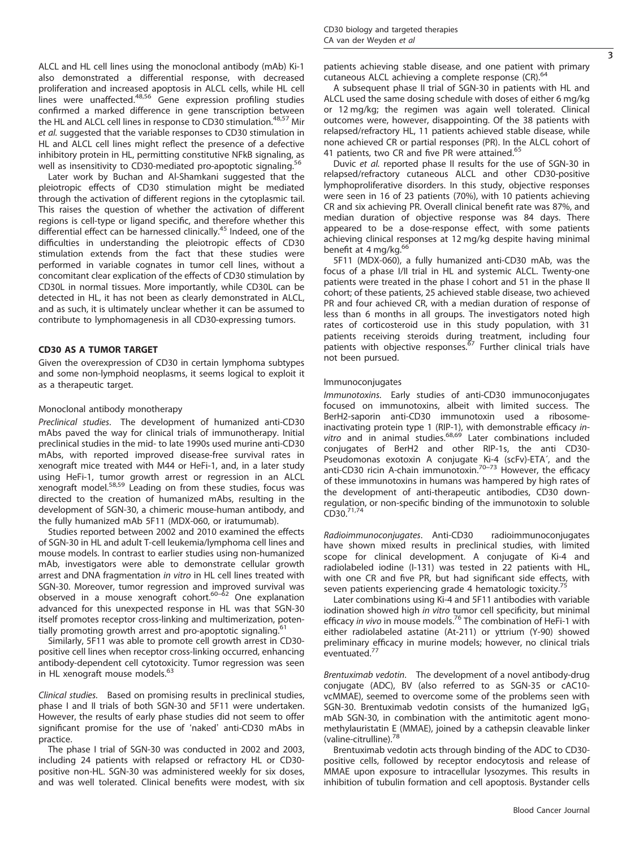ALCL and HL cell lines using the monoclonal antibody (mAb) Ki-1 also demonstrated a differential response, with decreased proliferation and increased apoptosis in ALCL cells, while HL cell lines were unaffected.<sup>48,56</sup> Gene expression profiling studies confirmed a marked difference in gene transcription between the HL and ALCL cell lines in response to CD30 stimulation.<sup>48,57</sup> Mir et al. suggested that the variable responses to CD30 stimulation in HL and ALCL cell lines might reflect the presence of a defective inhibitory protein in HL, permitting constitutive NFkB signaling, as well as insensitivity to CD30-mediated pro-apoptotic signaling.<sup>5</sup>

Later work by Buchan and Al-Shamkani suggested that the pleiotropic effects of CD30 stimulation might be mediated through the activation of different regions in the cytoplasmic tail. This raises the question of whether the activation of different regions is cell-type or ligand specific, and therefore whether this differential effect can be harnessed clinically.<sup>45</sup> Indeed, one of the difficulties in understanding the pleiotropic effects of CD30 stimulation extends from the fact that these studies were performed in variable cognates in tumor cell lines, without a concomitant clear explication of the effects of CD30 stimulation by CD30L in normal tissues. More importantly, while CD30L can be detected in HL, it has not been as clearly demonstrated in ALCL, and as such, it is ultimately unclear whether it can be assumed to contribute to lymphomagenesis in all CD30-expressing tumors.

#### CD30 AS A TUMOR TARGET

Given the overexpression of CD30 in certain lymphoma subtypes and some non-lymphoid neoplasms, it seems logical to exploit it as a therapeutic target.

### Monoclonal antibody monotherapy

Preclinical studies. The development of humanized anti-CD30 mAbs paved the way for clinical trials of immunotherapy. Initial preclinical studies in the mid- to late 1990s used murine anti-CD30 mAbs, with reported improved disease-free survival rates in xenograft mice treated with M44 or HeFi-1, and, in a later study using HeFi-1, tumor growth arrest or regression in an ALCL xenograft model.58,59 Leading on from these studies, focus was directed to the creation of humanized mAbs, resulting in the development of SGN-30, a chimeric mouse-human antibody, and the fully humanized mAb 5F11 (MDX-060, or iratumumab).

Studies reported between 2002 and 2010 examined the effects of SGN-30 in HL and adult T-cell leukemia/lymphoma cell lines and mouse models. In contrast to earlier studies using non-humanized mAb, investigators were able to demonstrate cellular growth arrest and DNA fragmentation in vitro in HL cell lines treated with SGN-30. Moreover, tumor regression and improved survival was observed in a mouse xenograft cohort. $60-62$  One explanation advanced for this unexpected response in HL was that SGN-30 itself promotes receptor cross-linking and multimerization, potentially promoting growth arrest and pro-apoptotic signaling.

Similarly, 5F11 was able to promote cell growth arrest in CD30 positive cell lines when receptor cross-linking occurred, enhancing antibody-dependent cell cytotoxicity. Tumor regression was seen in HL xenograft mouse models.<sup>63</sup>

Clinical studies. Based on promising results in preclinical studies, phase I and II trials of both SGN-30 and 5F11 were undertaken. However, the results of early phase studies did not seem to offer significant promise for the use of 'naked' anti-CD30 mAbs in practice.

The phase I trial of SGN-30 was conducted in 2002 and 2003, including 24 patients with relapsed or refractory HL or CD30 positive non-HL. SGN-30 was administered weekly for six doses, and was well tolerated. Clinical benefits were modest, with six patients achieving stable disease, and one patient with primary cutaneous ALCL achieving a complete response (CR).<sup>64</sup>

A subsequent phase II trial of SGN-30 in patients with HL and ALCL used the same dosing schedule with doses of either 6 mg/kg or 12 mg/kg; the regimen was again well tolerated. Clinical outcomes were, however, disappointing. Of the 38 patients with relapsed/refractory HL, 11 patients achieved stable disease, while none achieved CR or partial responses (PR). In the ALCL cohort of 41 patients, two CR and five PR were attained.<sup>65</sup>

Duvic et al. reported phase II results for the use of SGN-30 in relapsed/refractory cutaneous ALCL and other CD30-positive lymphoproliferative disorders. In this study, objective responses were seen in 16 of 23 patients (70%), with 10 patients achieving CR and six achieving PR. Overall clinical benefit rate was 87%, and median duration of objective response was 84 days. There appeared to be a dose-response effect, with some patients achieving clinical responses at 12 mg/kg despite having minimal benefit at 4 mg/kg.<sup>66</sup>

5F11 (MDX-060), a fully humanized anti-CD30 mAb, was the focus of a phase I/II trial in HL and systemic ALCL. Twenty-one patients were treated in the phase I cohort and 51 in the phase II cohort; of these patients, 25 achieved stable disease, two achieved PR and four achieved CR, with a median duration of response of less than 6 months in all groups. The investigators noted high rates of corticosteroid use in this study population, with 31 patients receiving steroids during treatment, including four<br>patients with objective responses.<sup>67</sup> Further clinical trials have not been pursued.

#### Immunoconjugates

Immunotoxins. Early studies of anti-CD30 immunoconjugates focused on immunotoxins, albeit with limited success. The BerH2-saporin anti-CD30 immunotoxin used a ribosomeinactivating protein type 1 (RIP-1), with demonstrable efficacy invitro and in animal studies.<sup>68,69</sup> Later combinations included conjugates of BerH2 and other RIP-1s, the anti CD30- Pseudomonas exotoxin A conjugate Ki-4 (scFv)-ETA´, and the anti-CD30 ricin A-chain immunotoxin.<sup>70–73</sup> However, the efficacy of these immunotoxins in humans was hampered by high rates of the development of anti-therapeutic antibodies, CD30 downregulation, or non-specific binding of the immunotoxin to soluble  $CD30.<sup>71,74</sup>$ 

Radioimmunoconjugates. Anti-CD30 radioimmunoconjugates have shown mixed results in preclinical studies, with limited scope for clinical development. A conjugate of Ki-4 and radiolabeled iodine (I-131) was tested in 22 patients with HL, with one CR and five PR, but had significant side effects, with seven patients experiencing grade 4 hematologic toxicity.<sup>7</sup>

Later combinations using Ki-4 and 5F11 antibodies with variable iodination showed high in vitro tumor cell specificity, but minimal efficacy in vivo in mouse models.<sup>76</sup> The combination of HeFi-1 with either radiolabeled astatine (At-211) or yttrium (Y-90) showed preliminary efficacy in murine models; however, no clinical trials eventuated.<sup>77</sup>

Brentuximab vedotin. The development of a novel antibody-drug conjugate (ADC), BV (also referred to as SGN-35 or cAC10 vcMMAE), seemed to overcome some of the problems seen with SGN-30. Brentuximab vedotin consists of the humanized  $I_{q}G_{1}$ mAb SGN-30, in combination with the antimitotic agent monomethylauristatin E (MMAE), joined by a cathepsin cleavable linker (valine-citrulline).<sup>78</sup>

Brentuximab vedotin acts through binding of the ADC to CD30 positive cells, followed by receptor endocytosis and release of MMAE upon exposure to intracellular lysozymes. This results in inhibition of tubulin formation and cell apoptosis. Bystander cells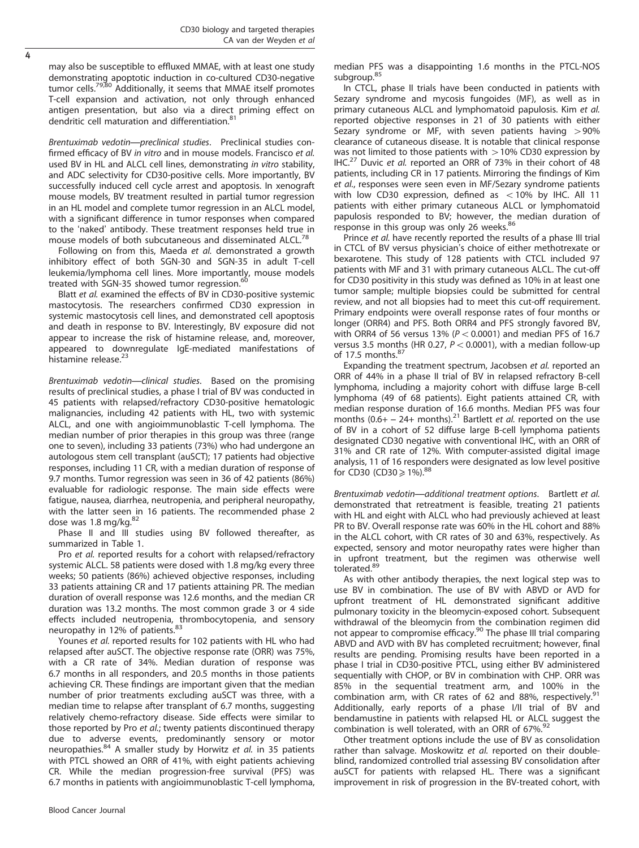may also be susceptible to effluxed MMAE, with at least one study demonstrating apoptotic induction in co-cultured CD30-negative tumor cells.<sup>79,80</sup> Additionally, it seems that MMAE itself promotes T-cell expansion and activation, not only through enhanced antigen presentation, but also via a direct priming effect on dendritic cell maturation and differentiation.<sup>81</sup>

Brentuximab vedotin—preclinical studies. Preclinical studies confirmed efficacy of BV in vitro and in mouse models. Francisco et al. used BV in HL and ALCL cell lines, demonstrating in vitro stability, and ADC selectivity for CD30-positive cells. More importantly, BV successfully induced cell cycle arrest and apoptosis. In xenograft mouse models, BV treatment resulted in partial tumor regression in an HL model and complete tumor regression in an ALCL model, with a significant difference in tumor responses when compared to the 'naked' antibody. These treatment responses held true in mouse models of both subcutaneous and disseminated ALCL.<sup>78</sup>

Following on from this, Maeda et al. demonstrated a growth inhibitory effect of both SGN-30 and SGN-35 in adult T-cell leukemia/lymphoma cell lines. More importantly, mouse models treated with SGN-35 showed tumor regression.<sup>60</sup>

Blatt et al. examined the effects of BV in CD30-positive systemic mastocytosis. The researchers confirmed CD30 expression in systemic mastocytosis cell lines, and demonstrated cell apoptosis and death in response to BV. Interestingly, BV exposure did not appear to increase the risk of histamine release, and, moreover, appeared to downregulate IgE-mediated manifestations of histamine release. $23$ 

Brentuximab vedotin—clinical studies. Based on the promising results of preclinical studies, a phase I trial of BV was conducted in 45 patients with relapsed/refractory CD30-positive hematologic malignancies, including 42 patients with HL, two with systemic ALCL, and one with angioimmunoblastic T-cell lymphoma. The median number of prior therapies in this group was three (range one to seven), including 33 patients (73%) who had undergone an autologous stem cell transplant (auSCT); 17 patients had objective responses, including 11 CR, with a median duration of response of 9.7 months. Tumor regression was seen in 36 of 42 patients (86%) evaluable for radiologic response. The main side effects were fatigue, nausea, diarrhea, neutropenia, and peripheral neuropathy, with the latter seen in 16 patients. The recommended phase 2 dose was 1.8 mg/kg. 82

Phase II and III studies using BV followed thereafter, as summarized in Table 1.

Pro et al. reported results for a cohort with relapsed/refractory systemic ALCL. 58 patients were dosed with 1.8 mg/kg every three weeks; 50 patients (86%) achieved objective responses, including 33 patients attaining CR and 17 patients attaining PR. The median duration of overall response was 12.6 months, and the median CR duration was 13.2 months. The most common grade 3 or 4 side effects included neutropenia, thrombocytopenia, and sensory neuropathy in 12% of patients.<sup>83</sup>

Younes et al. reported results for 102 patients with HL who had relapsed after auSCT. The objective response rate (ORR) was 75%, with a CR rate of 34%. Median duration of response was 6.7 months in all responders, and 20.5 months in those patients achieving CR. These findings are important given that the median number of prior treatments excluding auSCT was three, with a median time to relapse after transplant of 6.7 months, suggesting relatively chemo-refractory disease. Side effects were similar to those reported by Pro et al.; twenty patients discontinued therapy due to adverse events, predominantly sensory or motor neuropathies.<sup>84</sup> A smaller study by Horwitz et al. in 35 patients with PTCL showed an ORR of 41%, with eight patients achieving CR. While the median progression-free survival (PFS) was 6.7 months in patients with angioimmunoblastic T-cell lymphoma,

Blood Cancer Journal

median PFS was a disappointing 1.6 months in the PTCL-NOS subgroup.<sup>85</sup>

In CTCL, phase II trials have been conducted in patients with Sezary syndrome and mycosis fungoides (MF), as well as in primary cutaneous ALCL and lymphomatoid papulosis. Kim et al. reported objective responses in 21 of 30 patients with either Sezary syndrome or MF, with seven patients having  $>90\%$ clearance of cutaneous disease. It is notable that clinical response was not limited to those patients with  $>$  10% CD30 expression by IHC.<sup>27</sup> Duvic et al. reported an ORR of 73% in their cohort of 48 patients, including CR in 17 patients. Mirroring the findings of Kim et al., responses were seen even in MF/Sezary syndrome patients with low CD30 expression, defined as  $<$  10% by IHC. All 11 patients with either primary cutaneous ALCL or lymphomatoid papulosis responded to BV; however, the median duration of response in this group was only 26 weeks.<sup>86</sup>

Prince et al. have recently reported the results of a phase III trial in CTCL of BV versus physician's choice of either methotrexate or bexarotene. This study of 128 patients with CTCL included 97 patients with MF and 31 with primary cutaneous ALCL. The cut-off for CD30 positivity in this study was defined as 10% in at least one tumor sample; multiple biopsies could be submitted for central review, and not all biopsies had to meet this cut-off requirement. Primary endpoints were overall response rates of four months or longer (ORR4) and PFS. Both ORR4 and PFS strongly favored BV, with ORR4 of 56 versus 13% ( $P < 0.0001$ ) and median PFS of 16.7 versus 3.5 months (HR 0.27,  $P < 0.0001$ ), with a median follow-up of 17.5 months.<sup>87</sup>

Expanding the treatment spectrum, Jacobsen et al. reported an ORR of 44% in a phase II trial of BV in relapsed refractory B-cell lymphoma, including a majority cohort with diffuse large B-cell lymphoma (49 of 68 patients). Eight patients attained CR, with median response duration of 16.6 months. Median PFS was four months  $(0.6 + -24 +$  months).<sup>21</sup> Bartlett *et al.* reported on the use of BV in a cohort of 52 diffuse large B-cell lymphoma patients designated CD30 negative with conventional IHC, with an ORR of 31% and CR rate of 12%. With computer-assisted digital image analysis, 11 of 16 responders were designated as low level positive for CD30 (CD30  $\geq$  1%).<sup>88</sup>

Brentuximab vedotin—additional treatment options. Bartlett et al. demonstrated that retreatment is feasible, treating 21 patients with HL and eight with ALCL who had previously achieved at least PR to BV. Overall response rate was 60% in the HL cohort and 88% in the ALCL cohort, with CR rates of 30 and 63%, respectively. As expected, sensory and motor neuropathy rates were higher than in upfront treatment, but the regimen was otherwise well tolerated.<sup>89</sup>

As with other antibody therapies, the next logical step was to use BV in combination. The use of BV with ABVD or AVD for upfront treatment of HL demonstrated significant additive pulmonary toxicity in the bleomycin-exposed cohort. Subsequent withdrawal of the bleomycin from the combination regimen did not appear to compromise efficacy.<sup>90</sup> The phase III trial comparing ABVD and AVD with BV has completed recruitment; however, final results are pending. Promising results have been reported in a phase I trial in CD30-positive PTCL, using either BV administered sequentially with CHOP, or BV in combination with CHP. ORR was 85% in the sequential treatment arm, and 100% in the combination arm, with CR rates of 62 and 88%, respectively.<sup>91</sup> Additionally, early reports of a phase I/II trial of BV and bendamustine in patients with relapsed HL or ALCL suggest the combination is well tolerated, with an ORR of 67%.<sup>92</sup>

Other treatment options include the use of BV as consolidation rather than salvage. Moskowitz et al. reported on their doubleblind, randomized controlled trial assessing BV consolidation after auSCT for patients with relapsed HL. There was a significant improvement in risk of progression in the BV-treated cohort, with

4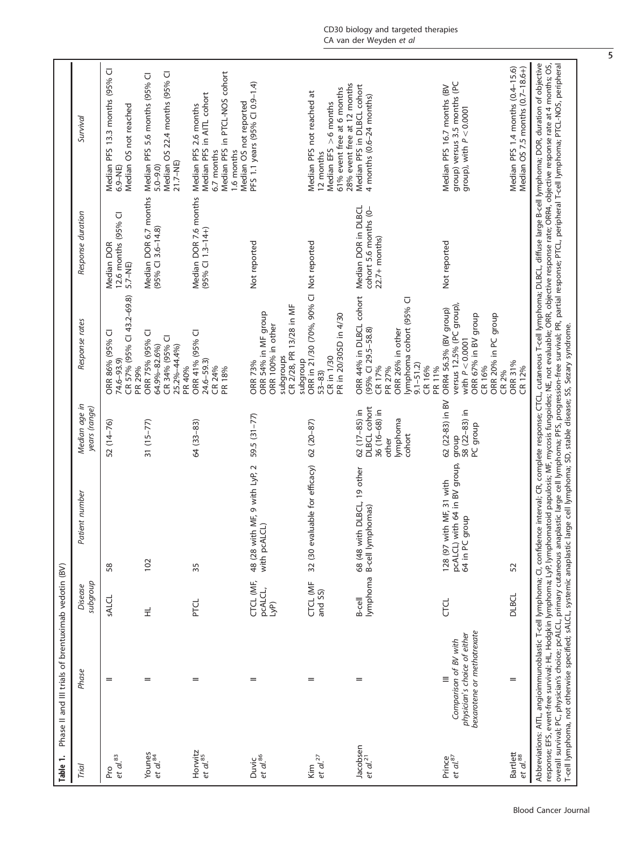| Table 1.                         | Phase II and III trials of brentuximab vedotin (BV)                                             |                              |                                                                                                                                    |                                                                                       |                                                                                                                                                         |                                                                 |                                                                                                                                                                                                                                                                                                                                                                                                                                                                                                                                                                                                                                                 |
|----------------------------------|-------------------------------------------------------------------------------------------------|------------------------------|------------------------------------------------------------------------------------------------------------------------------------|---------------------------------------------------------------------------------------|---------------------------------------------------------------------------------------------------------------------------------------------------------|-----------------------------------------------------------------|-------------------------------------------------------------------------------------------------------------------------------------------------------------------------------------------------------------------------------------------------------------------------------------------------------------------------------------------------------------------------------------------------------------------------------------------------------------------------------------------------------------------------------------------------------------------------------------------------------------------------------------------------|
| Trial                            | Phase                                                                                           | anologns<br>Disease          | Patient number                                                                                                                     | Median age in<br>years (range)                                                        | Response rates                                                                                                                                          | Response duration                                               | Survival                                                                                                                                                                                                                                                                                                                                                                                                                                                                                                                                                                                                                                        |
| Pro<br>et al. <sup>83</sup>      | =                                                                                               | SALCL                        | 58                                                                                                                                 | 52 (14-76)                                                                            | CR 57% (95% CI 43.2-69.8)<br>ORR 86% (95% CI<br>74.6-93.9)<br>PR 29%                                                                                    | 12.6 months (95% CI<br>Median DOR<br>$5.7 - NE$                 | Median PFS 13.3 months (95% CI<br>Median OS not reached<br>$6.9 - NE$                                                                                                                                                                                                                                                                                                                                                                                                                                                                                                                                                                           |
| Younes<br>et al. <sup>84</sup>   | $=$                                                                                             | Ë                            | 102                                                                                                                                | $31(15-77)$                                                                           | ORR 75% (95% CI<br>CR 34% (95% CI<br>25.2%-44.4%)<br>64.9%-82.6%)<br>PR 40%                                                                             | Median DOR 6.7 months<br>$(95%$ CI 3.6-14.8)                    | Median OS 22.4 months (95% CI<br>Median PFS 5.6 months (95% CI<br>21.7-NE)<br>$5.0 - 9.0$                                                                                                                                                                                                                                                                                                                                                                                                                                                                                                                                                       |
| Horwitz<br>et al. 85             | =                                                                                               | PTCL                         | 35                                                                                                                                 | 64 (33-83)                                                                            | ORR 41% (95% CI<br>$24.6 - 59.3$<br>CR 24%<br>PR 18%                                                                                                    | Median DOR 7.6 months<br>$(95%$ CI 1.3-14+)                     | Median PFS in PTCL-NOS cohort<br>Median PFS in AITL cohort<br>Median PFS 2.6 months<br>6.7 months<br>1.6 months                                                                                                                                                                                                                                                                                                                                                                                                                                                                                                                                 |
| Duvic<br>et al. <sup>86</sup>    | =                                                                                               | CTCL (MF,<br>pcALCL,<br>LyP) | 48 (28 with MF, 9 with LyP, 2<br>with pcALCL)                                                                                      | $59.5(31 - 77)$                                                                       | CR 2/28, PR 13/28 in MF<br>ORR 54% in MF group<br>ORR 100% in other<br>subgroups<br>ORR 73%                                                             | Not reported                                                    | PFS 1.1 years (95% CI 0.9-1.4)<br>Median OS not reported                                                                                                                                                                                                                                                                                                                                                                                                                                                                                                                                                                                        |
| et al. <sup>27</sup><br>Kim      | $=$                                                                                             | CTCL (MF<br>and SS)          | 32 (30 evaluable for efficacy)                                                                                                     | $62(20-87)$                                                                           | ORR in 21/30 (70%, 90% Cl Not reported<br>PR in 20/30SD in 4/30<br>CR in 1/30<br>dnoubqns<br>$53 - 83$                                                  |                                                                 | 28% event free at 12 months<br>61% event free at 6 months<br>Median PFS not reached at<br>Median EFS $>6$ months<br>12 months                                                                                                                                                                                                                                                                                                                                                                                                                                                                                                                   |
| Jacobsen<br>et al. <sup>21</sup> | $=$                                                                                             | $B$ -cell                    | 68 (48 with DLBCL, 19 other<br>lymphoma B-cell lymphomas)                                                                          | <b>DLBCL</b> cohort<br>$62(17-85)$ in<br>36 (16-68) in<br>lymphoma<br>cohort<br>other | ORR 44% in DLBCL cohort<br>lymphoma cohort (95% Cl<br>$(95\%$ CI 29.5-58.8)<br>ORR 26% in other<br>$9.1 - 51.2$<br>CR 17%<br>CR 16%<br>PR 27%<br>PR 11% | Median DOR in DLBCL<br>cohort 5.6 months (0-<br>$22.7+$ months) | Median PFS in DLBCL cohort<br>4 months (0.6-24 months)                                                                                                                                                                                                                                                                                                                                                                                                                                                                                                                                                                                          |
| Prince<br>et al. <sup>87</sup>   | bexarotene or methotrexate<br>physician's choice of either<br>Comparison of BV with<br>$\equiv$ | <b>CTCL</b>                  | with 64 in BV group,<br>128 (97 with MF, 31 with<br>dho.fo<br>pcALCL)<br>64 in PC                                                  | 62 (22-83) in BV<br>58 (22-83) in<br>PC group<br>group                                | versus 12.5% (PC group),<br>ORR4 56.3% (BV group)<br>ORR 67% in BV group<br>ORR 20% in PC group<br>with $P < 0.0001$<br>CR 16%<br>CR 2%                 | Not reported                                                    | group) versus 3.5 months (PC<br>Median PFS 16.7 months (BV<br>group), with $P < 0.0001$                                                                                                                                                                                                                                                                                                                                                                                                                                                                                                                                                         |
| Bartlett<br>et al. 88            | $=$                                                                                             | DLBCL                        | 52                                                                                                                                 |                                                                                       | ORR 31%<br>CR 12%                                                                                                                                       |                                                                 | Median PFS 1.4 months (0.4-15.6)<br>Median OS 7.5 months (0.7-18.6+)                                                                                                                                                                                                                                                                                                                                                                                                                                                                                                                                                                            |
|                                  |                                                                                                 |                              | T-cell lymphoma, not otherwise specified; sALCL, systemic anaplastic large cell lymphoma; SD, stable disease; SS, Sezary syndrome. |                                                                                       |                                                                                                                                                         |                                                                 | Abbreviations: AITL, angioimmunoblastic T-cell lymphoma; CI, confidence interval; CR, complete response; CTCL, cutaneous T-cell lymphoma; DLBCL, diffuse large B-cell lymphoma; DOR, duration of objective<br>overall survival; PC, physician's choice; pcALCL, primary cutaneous anaplastic large cell lymphoma; PFS, progression-free survival; PR, partial response; PTCL, peripheral T-cell lymphoma; PTCL-NOS, peripheral<br>response; EFS, event-free survival; HL, Hodgkin lymphoma; LyP, lymphomatoid papulosis; MF, mycosis fungoides; NE, not evaluable; ORR, objective response rate; ORR4, objective response rate at 4 months; OS, |

5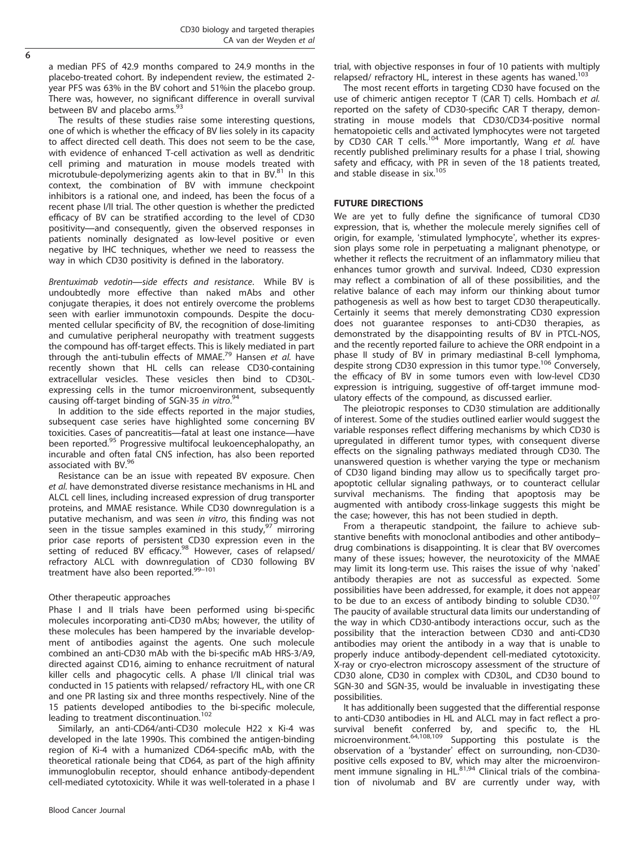a median PFS of 42.9 months compared to 24.9 months in the placebo-treated cohort. By independent review, the estimated 2 year PFS was 63% in the BV cohort and 51%in the placebo group. There was, however, no significant difference in overall survival between BV and placebo arms.<sup>93</sup>

The results of these studies raise some interesting questions, one of which is whether the efficacy of BV lies solely in its capacity to affect directed cell death. This does not seem to be the case, with evidence of enhanced T-cell activation as well as dendritic cell priming and maturation in mouse models treated with microtubule-depolymerizing agents akin to that in BV.<sup>81</sup> In this context, the combination of BV with immune checkpoint inhibitors is a rational one, and indeed, has been the focus of a recent phase I/II trial. The other question is whether the predicted efficacy of BV can be stratified according to the level of CD30 positivity—and consequently, given the observed responses in patients nominally designated as low-level positive or even negative by IHC techniques, whether we need to reassess the way in which CD30 positivity is defined in the laboratory.

Brentuximab vedotin—side effects and resistance. While BV is undoubtedly more effective than naked mAbs and other conjugate therapies, it does not entirely overcome the problems seen with earlier immunotoxin compounds. Despite the documented cellular specificity of BV, the recognition of dose-limiting and cumulative peripheral neuropathy with treatment suggests the compound has off-target effects. This is likely mediated in part through the anti-tubulin effects of MMAE.<sup>79</sup> Hansen et al. have recently shown that HL cells can release CD30-containing extracellular vesicles. These vesicles then bind to CD30Lexpressing cells in the tumor microenvironment, subsequently causing off-target binding of SGN-35 in vitro.<sup>94</sup>

In addition to the side effects reported in the major studies, subsequent case series have highlighted some concerning BV toxicities. Cases of pancreatitis—fatal at least one instance—have been reported.<sup>95</sup> Progressive multifocal leukoencephalopathy, an incurable and often fatal CNS infection, has also been reported associated with BV.96

Resistance can be an issue with repeated BV exposure. Chen et al. have demonstrated diverse resistance mechanisms in HL and ALCL cell lines, including increased expression of drug transporter proteins, and MMAE resistance. While CD30 downregulation is a putative mechanism, and was seen in vitro, this finding was not seen in the tissue samples examined in this study, $97$  mirroring prior case reports of persistent CD30 expression even in the setting of reduced BV efficacy.<sup>98</sup> However, cases of relapsed/ refractory ALCL with downregulation of CD30 following BV treatment have also been reported.99–<sup>101</sup>

# Other therapeutic approaches

Phase I and II trials have been performed using bi-specific molecules incorporating anti-CD30 mAbs; however, the utility of these molecules has been hampered by the invariable development of antibodies against the agents. One such molecule combined an anti-CD30 mAb with the bi-specific mAb HRS-3/A9, directed against CD16, aiming to enhance recruitment of natural killer cells and phagocytic cells. A phase I/II clinical trial was conducted in 15 patients with relapsed/ refractory HL, with one CR and one PR lasting six and three months respectively. Nine of the 15 patients developed antibodies to the bi-specific molecule, leading to treatment discontinuation.<sup>102</sup>

Similarly, an anti-CD64/anti-CD30 molecule H22 x Ki-4 was developed in the late 1990s. This combined the antigen-binding region of Ki-4 with a humanized CD64-specific mAb, with the theoretical rationale being that CD64, as part of the high affinity immunoglobulin receptor, should enhance antibody-dependent cell-mediated cytotoxicity. While it was well-tolerated in a phase I trial, with objective responses in four of 10 patients with multiply relapsed/ refractory HL, interest in these agents has waned.<sup>103</sup>

The most recent efforts in targeting CD30 have focused on the use of chimeric antigen receptor T (CAR T) cells. Hombach et al. reported on the safety of CD30-specific CAR T therapy, demonstrating in mouse models that CD30/CD34-positive normal hematopoietic cells and activated lymphocytes were not targeted<br>by CD30 CAR T cells.<sup>104</sup> More importantly, Wang *et al*. have recently published preliminary results for a phase I trial, showing safety and efficacy, with PR in seven of the 18 patients treated, and stable disease in six.105

# FUTURE DIRECTIONS

We are yet to fully define the significance of tumoral CD30 expression, that is, whether the molecule merely signifies cell of origin, for example, 'stimulated lymphocyte', whether its expression plays some role in perpetuating a malignant phenotype, or whether it reflects the recruitment of an inflammatory milieu that enhances tumor growth and survival. Indeed, CD30 expression may reflect a combination of all of these possibilities, and the relative balance of each may inform our thinking about tumor pathogenesis as well as how best to target CD30 therapeutically. Certainly it seems that merely demonstrating CD30 expression does not guarantee responses to anti-CD30 therapies, as demonstrated by the disappointing results of BV in PTCL-NOS, and the recently reported failure to achieve the ORR endpoint in a phase II study of BV in primary mediastinal B-cell lymphoma, despite strong CD30 expression in this tumor type.<sup>106</sup> Conversely, the efficacy of BV in some tumors even with low-level CD30 expression is intriguing, suggestive of off-target immune modulatory effects of the compound, as discussed earlier.

The pleiotropic responses to CD30 stimulation are additionally of interest. Some of the studies outlined earlier would suggest the variable responses reflect differing mechanisms by which CD30 is upregulated in different tumor types, with consequent diverse effects on the signaling pathways mediated through CD30. The unanswered question is whether varying the type or mechanism of CD30 ligand binding may allow us to specifically target proapoptotic cellular signaling pathways, or to counteract cellular survival mechanisms. The finding that apoptosis may be augmented with antibody cross-linkage suggests this might be the case; however, this has not been studied in depth.

From a therapeutic standpoint, the failure to achieve substantive benefits with monoclonal antibodies and other antibody– drug combinations is disappointing. It is clear that BV overcomes many of these issues; however, the neurotoxicity of the MMAE may limit its long-term use. This raises the issue of why 'naked' antibody therapies are not as successful as expected. Some possibilities have been addressed, for example, it does not appear to be due to an excess of antibody binding to soluble CD30.<sup>107</sup> The paucity of available structural data limits our understanding of the way in which CD30-antibody interactions occur, such as the possibility that the interaction between CD30 and anti-CD30 antibodies may orient the antibody in a way that is unable to properly induce antibody-dependent cell-mediated cytotoxicity. X-ray or cryo-electron microscopy assessment of the structure of CD30 alone, CD30 in complex with CD30L, and CD30 bound to SGN-30 and SGN-35, would be invaluable in investigating these possibilities.

It has additionally been suggested that the differential response to anti-CD30 antibodies in HL and ALCL may in fact reflect a prosurvival benefit conferred by, and specific to, the HL microenvironment.64,108,109 Supporting this postulate is the observation of a 'bystander' effect on surrounding, non-CD30 positive cells exposed to BV, which may alter the microenviron-<br>ment immune signaling in HL.<sup>81,94</sup> Clinical trials of the combination of nivolumab and BV are currently under way, with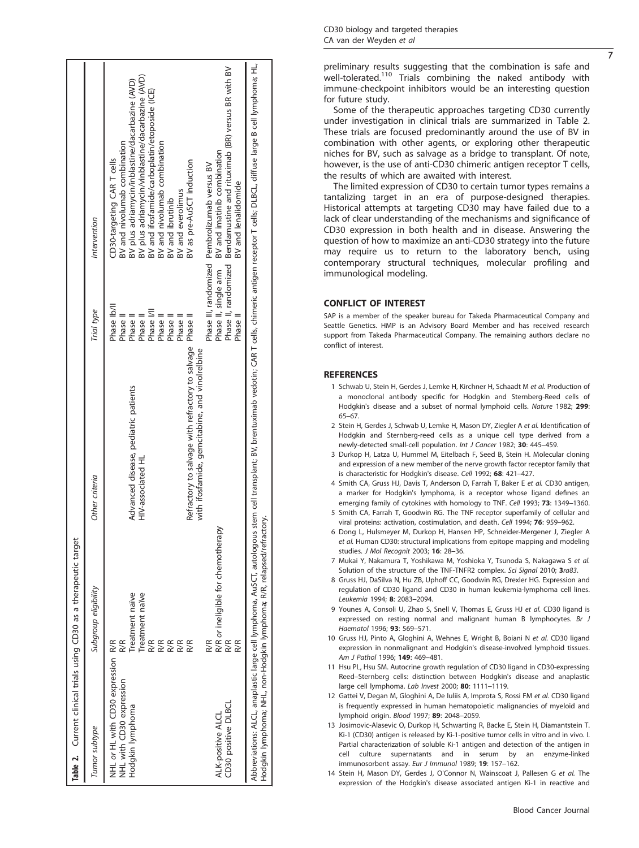| Table 2. Current clinical trials using CD30 as a therapeutic target                |                                                                                                   |                                                                                                                                                                          |                                                                                                 |                                                                                                                                                                                                                                                                                                                                                                           |
|------------------------------------------------------------------------------------|---------------------------------------------------------------------------------------------------|--------------------------------------------------------------------------------------------------------------------------------------------------------------------------|-------------------------------------------------------------------------------------------------|---------------------------------------------------------------------------------------------------------------------------------------------------------------------------------------------------------------------------------------------------------------------------------------------------------------------------------------------------------------------------|
| Tumor subtype                                                                      | Subgroup eligibility                                                                              | Other criteria                                                                                                                                                           | Trial type                                                                                      | Intervention                                                                                                                                                                                                                                                                                                                                                              |
| NHL or HL with CD30 expression R/R<br>NHL with CD30 expression<br>Hodgkin lymphoma | Treatment naïve<br>Treatment naïve<br>R/R<br><b>R/R</b><br>R/R<br>R/R<br>R/R<br>R/R<br><b>R/R</b> | Refractory to salvage with refractory to salvage Phase II<br>with ifosfamide, gemcitabine, and vinolrelbine<br>Advanced disease, pediatric patients<br>HIV-associated HL | Phase Ib/II<br>Phase I/II<br>Phase II<br>Phase II<br>Phase II<br>Phase II<br>Phase I<br>Phase I | BV plus adriamycin/vinblastine/dacarbazine (AVD)<br>BV plus adriamycin/inblastine/dacarbazine (AVD)<br>BV and ifosfamide/carboplatin/etoposide (ICE)<br>BV and nivolumab combination<br>BV and nivolumab combination<br>CD30-targeting CAR T cells<br>BV as pre-AuSCT induction<br>Phase III, randomized Pembrolizumab versus BV<br>BV and everolimus<br>BV and ibrutinib |
| CD30 positive DLBCL<br>ALK-positive ALCL                                           | R/R or ineligible for chemotherapy<br>R/R                                                         |                                                                                                                                                                          | Phase II, single arm<br>Phase I                                                                 | Phase II, randomized Bendamustine and rituximab (BR) versus BR with BV<br>BV and imatinib combination<br>BV and lenalidomide                                                                                                                                                                                                                                              |
| Hodgkin lymphoma; NHL, non-Hodgkin lymphoma; R/R, relapsed/refr.                   | actory                                                                                            |                                                                                                                                                                          |                                                                                                 | Abbreviations: ALCL, anaplastic large cell lymphoma, AuSCT, autologous stem cell transplant; BV, brentuximab vedotin; CAR T cells, chimeric antigen receptor T cells; DLBCL, diffuse large B cell lymphoma; HL,                                                                                                                                                           |

preliminary results suggesting that the combination is safe and well-tolerated.<sup>110</sup> Trials combining the naked antibody with immune-checkpoint inhibitors would be an interesting question for future study.

Some of the therapeutic approaches targeting CD30 currently under investigation in clinical trials are summarized in Table 2. These trials are focused predominantly around the use of BV in combination with other agents, or exploring other therapeutic niches for BV, such as salvage as a bridge to transplant. Of note, however, is the use of anti-CD30 chimeric antigen receptor T cells, the results of which are awaited with interest.

The limited expression of CD30 to certain tumor types remains a tantalizing target in an era of purpose-designed therapies. Historical attempts at targeting CD30 may have failed due to a lack of clear understanding of the mechanisms and signi ficance of CD30 expression in both health and in disease. Answering the question of how to maximize an anti-CD30 strategy into the future may require us to return to the laboratory bench, using contemporary structural techniques, molecular pro filing and immunological modeling.

# CONFLICT OF INTEREST

SAP is a member of the speaker bureau for Takeda Pharmaceutical Company and Seattle Genetics. HMP is an Advisory Board Member and has received research support from Takeda Pharmaceutical Company. The remaining authors declare no con flict of interest.

# **REFERENCES**

- 1 Schwab U, Stein H, Gerdes J, Lemke H, Kirchner H, Schaadt M et al. Production of a monoclonal antibody speci fic for Hodgkin and Sternberg-Reed cells of Hodgkin's disease and a subset of normal lymphoid cells. Nature 1982; 299: : 65 –67.
- 2 Stein H, Gerdes J, Schwab U, Lemke H, Mason DY, Ziegler A et al. Identification of Hodgkin and Sternberg-reed cells as a unique cell type derived from a newly-detected small-cell population. Int J Cancer 1982; 30: 445-459.
- 3 Durkop H, Latza U, Hummel M, Eitelbach F, Seed B, Stein H. Molecular cloning and expression of a new member of the nerve growth factor receptor family that is characteristic for Hodgkin's disease. Cell 1992; 68: 421-427.
- 4 Smith CA, Gruss HJ, Davis T, Anderson D, Farrah T, Baker E et al. CD30 antigen, a marker for Hodgkin's lymphoma, is a receptor whose ligand de fines an emerging family of cytokines with homology to TNF. Cell 1993; 73: 1349-1360.
- 5 Smith CA, Farrah T, Goodwin RG. The TNF receptor superfamily of cellular and viral proteins: activation, costimulation, and death. Cell 1994; 76: 959-962
- 6 Dong L, Hulsmeyer M, Durkop H, Hansen HP, Schneider-Mergener J, Ziegler A et al. Human CD30: structural implications from epitope mapping and modeling studies. J Mol Recognit 2003; 16: 28-36.
- 7 Mukai Y, Nakamura T, Yoshikawa M, Yoshioka Y, Tsunoda S, Nakagawa S et al. Solution of the structure of the TNF-TNFR2 complex. Sci Signal 2010; 3ra83 .
- 8 Gruss HJ, DaSilva N, Hu ZB, Uphoff CC, Goodwin RG, Drexler HG. Expression and regulation of CD30 ligand and CD30 in human leukemia-lymphoma cell lines. Leukemia 1994; 8: 2083 –2094.
- 9 Younes A, Consoli U, Zhao S, Snell V, Thomas E, Gruss HJ et al. CD30 ligand is expressed on resting normal and malignant human B lymphocytes. Br J Haematol 1996; 93: 569-571.
- 10 Gruss HJ, Pinto A, Gloghini A, Wehnes E, Wright B, Boiani N et al. CD30 ligand expression in nonmalignant and Hodgkin's disease-involved lymphoid tissues. Am J Pathol 1996; 149: 469-481.
- 11 Hsu PL, Hsu SM. Autocrine growth regulation of CD30 ligand in CD30-expressing Reed –Sternberg cells: distinction between Hodgkin's disease and anaplastic large cell lymphoma. Lab Invest 2000; 80: 1111-1119.
- 12 Gattei V, Degan M, Gloghini A, De Iuliis A, Improta S, Rossi FM et al. CD30 ligand is frequently expressed in human hematopoietic malignancies of myeloid and lymphoid origin. Blood 1997; 89: 2048-2059.
- 13 Josimovic-Alasevic O, Durkop H, Schwarting R, Backe E, Stein H, Diamantstein T. Ki-1 (CD30) antigen is released by Ki-1-positive tumor cells in vitro and in vivo. I. Partial characterization of soluble Ki-1 antigen and detection of the antigen in cell culture supernatants and in serum by an enzyme-linked immunosorbent assay. Eur J Immunol 1989; 19: 157-162.
- 14 Stein H, Mason DY, Gerdes J, O'Connor N, Wainscoat J, Pallesen G et al. The expression of the Hodgkin's disease associated antigen Ki-1 in reactive and

7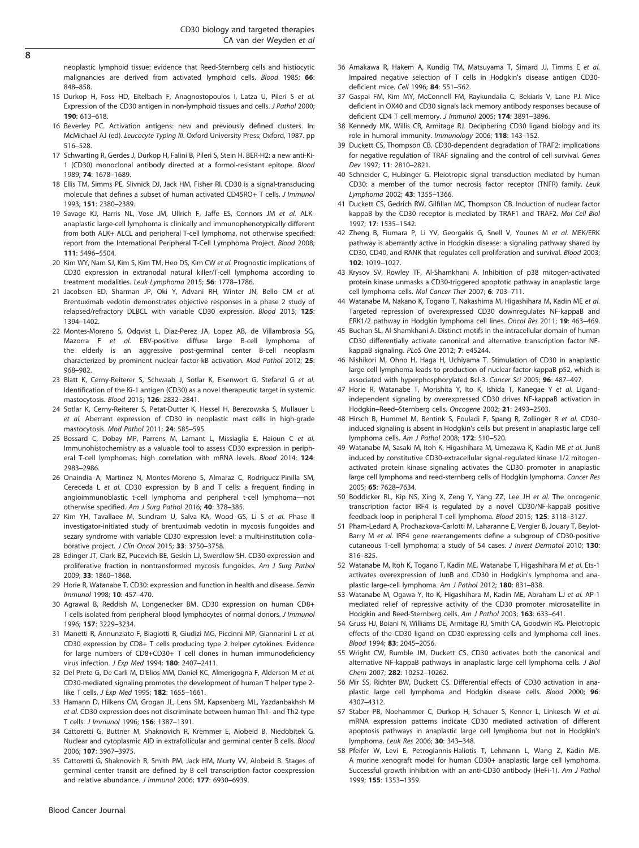neoplastic lymphoid tissue: evidence that Reed-Sternberg cells and histiocytic malignancies are derived from activated lymphoid cells. Blood 1985; 66: 848–858.

- 15 Durkop H, Foss HD, Eitelbach F, Anagnostopoulos I, Latza U, Pileri S et al. Expression of the CD30 antigen in non-lymphoid tissues and cells. J Pathol 2000; 190: 613–618.
- 16 Beverley PC. Activation antigens: new and previously defined clusters. In: McMichael AJ (ed). Leucocyte Typing III. Oxford University Press; Oxford, 1987. pp 516–528.
- 17 Schwarting R, Gerdes J, Durkop H, Falini B, Pileri S, Stein H. BER-H2: a new anti-Ki-1 (CD30) monoclonal antibody directed at a formol-resistant epitope. Blood 1989; 74: 1678–1689.
- 18 Ellis TM, Simms PE, Slivnick DJ, Jack HM, Fisher RI. CD30 is a signal-transducing molecule that defines a subset of human activated CD45RO+ T cells. J Immunol 1993; 151: 2380–2389.
- 19 Savage KJ, Harris NL, Vose JM, Ullrich F, Jaffe ES, Connors JM et al. ALKanaplastic large-cell lymphoma is clinically and immunophenotypically different from both ALK+ ALCL and peripheral T-cell lymphoma, not otherwise specified: report from the International Peripheral T-Cell Lymphoma Project. Blood 2008; 111: 5496–5504.
- 20 Kim WY, Nam SJ, Kim S, Kim TM, Heo DS, Kim CW et al. Prognostic implications of CD30 expression in extranodal natural killer/T-cell lymphoma according to treatment modalities. Leuk Lymphoma 2015; 56: 1778–1786.
- 21 Jacobsen ED, Sharman JP, Oki Y, Advani RH, Winter JN, Bello CM et al. Brentuximab vedotin demonstrates objective responses in a phase 2 study of relapsed/refractory DLBCL with variable CD30 expression. Blood 2015; 125: 1394–1402.
- 22 Montes-Moreno S, Odqvist L, Diaz-Perez JA, Lopez AB, de Villambrosia SG, Mazorra F et al. EBV-positive diffuse large B-cell lymphoma of the elderly is an aggressive post-germinal center B-cell neoplasm characterized by prominent nuclear factor-kB activation. Mod Pathol 2012; 25: 968–982.
- 23 Blatt K, Cerny-Reiterer S, Schwaab J, Sotlar K, Eisenwort G, Stefanzl G et al. Identification of the Ki-1 antigen (CD30) as a novel therapeutic target in systemic mastocytosis. Blood 2015; 126: 2832–2841.
- 24 Sotlar K, Cerny-Reiterer S, Petat-Dutter K, Hessel H, Berezowska S, Mullauer L et al. Aberrant expression of CD30 in neoplastic mast cells in high-grade mastocytosis. Mod Pathol 2011; 24: 585–595.
- 25 Bossard C, Dobay MP, Parrens M, Lamant L, Missiaglia E, Haioun C et al. Immunohistochemistry as a valuable tool to assess CD30 expression in peripheral T-cell lymphomas: high correlation with mRNA levels. Blood 2014; 124: 2983–2986.
- 26 Onaindia A, Martinez N, Montes-Moreno S, Almaraz C, Rodriguez-Pinilla SM, Cereceda L et al. CD30 expression by B and T cells: a frequent finding in angioimmunoblastic t-cell lymphoma and peripheral t-cell lymphoma—not otherwise specified. Am J Surg Pathol 2016; 40: 378–385.
- 27 Kim YH, Tavallaee M, Sundram U, Salva KA, Wood GS, Li S et al. Phase II investigator-initiated study of brentuximab vedotin in mycosis fungoides and sezary syndrome with variable CD30 expression level: a multi-institution collaborative project. J Clin Oncol 2015; 33: 3750–3758.
- 28 Edinger JT, Clark BZ, Pucevich BE, Geskin LJ, Swerdlow SH. CD30 expression and proliferative fraction in nontransformed mycosis fungoides. Am J Surg Pathol 2009; 33: 1860–1868.
- 29 Horie R, Watanabe T. CD30: expression and function in health and disease. Semin Immunol 1998; 10: 457–470.
- 30 Agrawal B, Reddish M, Longenecker BM. CD30 expression on human CD8+ T cells isolated from peripheral blood lymphocytes of normal donors. J Immunol 1996; 157: 3229–3234.
- 31 Manetti R, Annunziato F, Biagiotti R, Giudizi MG, Piccinni MP, Giannarini L et al. CD30 expression by CD8+ T cells producing type 2 helper cytokines. Evidence for large numbers of CD8+CD30+ T cell clones in human immunodeficiency virus infection. J Exp Med 1994; 180: 2407–2411.
- 32 Del Prete G, De Carli M, D'Elios MM, Daniel KC, Almerigogna F, Alderson M et al. CD30-mediated signaling promotes the development of human T helper type 2 like T cells. J Exp Med 1995; 182: 1655-1661.
- 33 Hamann D, Hilkens CM, Grogan JL, Lens SM, Kapsenberg ML, Yazdanbakhsh M et al. CD30 expression does not discriminate between human Th1- and Th2-type T cells. J Immunol 1996; 156: 1387–1391.
- 34 Cattoretti G, Buttner M, Shaknovich R, Kremmer E, Alobeid B, Niedobitek G. Nuclear and cytoplasmic AID in extrafollicular and germinal center B cells. Blood 2006; 107: 3967–3975.
- 35 Cattoretti G, Shaknovich R, Smith PM, Jack HM, Murty VV, Alobeid B. Stages of germinal center transit are defined by B cell transcription factor coexpression and relative abundance. J Immunol 2006; 177: 6930–6939.
- 36 Amakawa R, Hakem A, Kundig TM, Matsuyama T, Simard JJ, Timms E et al. Impaired negative selection of T cells in Hodgkin's disease antigen CD30 deficient mice. Cell 1996; 84: 551–562.
- 37 Gaspal FM, Kim MY, McConnell FM, Raykundalia C, Bekiaris V, Lane PJ. Mice deficient in OX40 and CD30 signals lack memory antibody responses because of deficient CD4 T cell memory. J Immunol 2005; 174: 3891–3896.
- 38 Kennedy MK, Willis CR, Armitage RJ. Deciphering CD30 ligand biology and its role in humoral immunity. Immunology 2006; 118: 143–152.
- 39 Duckett CS, Thompson CB. CD30-dependent degradation of TRAF2: implications for negative regulation of TRAF signaling and the control of cell survival. Genes Dev 1997; 11: 2810–2821.
- 40 Schneider C, Hubinger G. Pleiotropic signal transduction mediated by human CD30: a member of the tumor necrosis factor receptor (TNFR) family. Leuk Lymphoma 2002; 43: 1355–1366.
- 41 Duckett CS, Gedrich RW, Gilfillan MC, Thompson CB. Induction of nuclear factor kappaB by the CD30 receptor is mediated by TRAF1 and TRAF2. Mol Cell Biol 1997; 17: 1535–1542.
- 42 Zheng B, Fiumara P, Li YV, Georgakis G, Snell V, Younes M et al. MEK/ERK pathway is aberrantly active in Hodgkin disease: a signaling pathway shared by CD30, CD40, and RANK that regulates cell proliferation and survival. Blood 2003; 102: 1019–1027.
- 43 Krysov SV, Rowley TF, Al-Shamkhani A. Inhibition of p38 mitogen-activated protein kinase unmasks a CD30-triggered apoptotic pathway in anaplastic large cell lymphoma cells. Mol Cancer Ther 2007; 6: 703–711.
- 44 Watanabe M, Nakano K, Togano T, Nakashima M, Higashihara M, Kadin ME et al. Targeted repression of overexpressed CD30 downregulates NF-kappaB and ERK1/2 pathway in Hodgkin lymphoma cell lines. Oncol Res 2011; 19: 463–469.
- 45 Buchan SL, Al-Shamkhani A. Distinct motifs in the intracellular domain of human CD30 differentially activate canonical and alternative transcription factor NFkappaB signaling. PLoS One 2012; 7: e45244.
- 46 Nishikori M, Ohno H, Haga H, Uchiyama T. Stimulation of CD30 in anaplastic large cell lymphoma leads to production of nuclear factor-kappaB p52, which is associated with hyperphosphorylated Bcl-3. Cancer Sci 2005; 96: 487–497.
- 47 Horie R, Watanabe T, Morishita Y, Ito K, Ishida T, Kanegae Y et al. Ligandindependent signaling by overexpressed CD30 drives NF-kappaB activation in Hodgkin–Reed–Sternberg cells. Oncogene 2002; 21: 2493–2503.
- 48 Hirsch B, Hummel M, Bentink S, Fouladi F, Spang R, Zollinger R et al. CD30 induced signaling is absent in Hodgkin's cells but present in anaplastic large cell lymphoma cells. Am J Pathol 2008; 172: 510–520.
- 49 Watanabe M, Sasaki M, Itoh K, Higashihara M, Umezawa K, Kadin ME et al. JunB induced by constitutive CD30-extracellular signal-regulated kinase 1/2 mitogenactivated protein kinase signaling activates the CD30 promoter in anaplastic large cell lymphoma and reed-sternberg cells of Hodgkin lymphoma. Cancer Res 2005; 65: 7628–7634.
- 50 Boddicker RL, Kip NS, Xing X, Zeng Y, Yang ZZ, Lee JH et al. The oncogenic transcription factor IRF4 is regulated by a novel CD30/NF-kappaB positive feedback loop in peripheral T-cell lymphoma. Blood 2015; 125: 3118–3127.
- 51 Pham-Ledard A, Prochazkova-Carlotti M, Laharanne E, Vergier B, Jouary T, Beylot-Barry M et al. IRF4 gene rearrangements define a subgroup of CD30-positive cutaneous T-cell lymphoma: a study of 54 cases. J Invest Dermatol 2010; 130: 816–825.
- 52 Watanabe M, Itoh K, Togano T, Kadin ME, Watanabe T, Higashihara M et al. Ets-1 activates overexpression of JunB and CD30 in Hodgkin's lymphoma and anaplastic large-cell lymphoma. Am J Pathol 2012; 180: 831–838.
- 53 Watanabe M, Ogawa Y, Ito K, Higashihara M, Kadin ME, Abraham LJ et al. AP-1 mediated relief of repressive activity of the CD30 promoter microsatellite in Hodgkin and Reed-Sternberg cells. Am J Pathol 2003; 163: 633–641.
- 54 Gruss HJ, Boiani N, Williams DE, Armitage RJ, Smith CA, Goodwin RG. Pleiotropic effects of the CD30 ligand on CD30-expressing cells and lymphoma cell lines. Blood 1994; 83: 2045–2056.
- 55 Wright CW, Rumble JM, Duckett CS. CD30 activates both the canonical and alternative NF-kappaB pathways in anaplastic large cell lymphoma cells. J Biol Chem 2007; 282: 10252–10262.
- 56 Mir SS, Richter BW, Duckett CS. Differential effects of CD30 activation in anaplastic large cell lymphoma and Hodgkin disease cells. Blood 2000; 96: 4307–4312.
- 57 Staber PB, Noehammer C, Durkop H, Schauer S, Kenner L, Linkesch W et al. mRNA expression patterns indicate CD30 mediated activation of different apoptosis pathways in anaplastic large cell lymphoma but not in Hodgkin's lymphoma. Leuk Res 2006; 30: 343–348.
- 58 Pfeifer W, Levi E, Petrogiannis-Haliotis T, Lehmann L, Wang Z, Kadin ME. A murine xenograft model for human CD30+ anaplastic large cell lymphoma. Successful growth inhibition with an anti-CD30 antibody (HeFi-1). Am J Pathol 1999; 155: 1353–1359.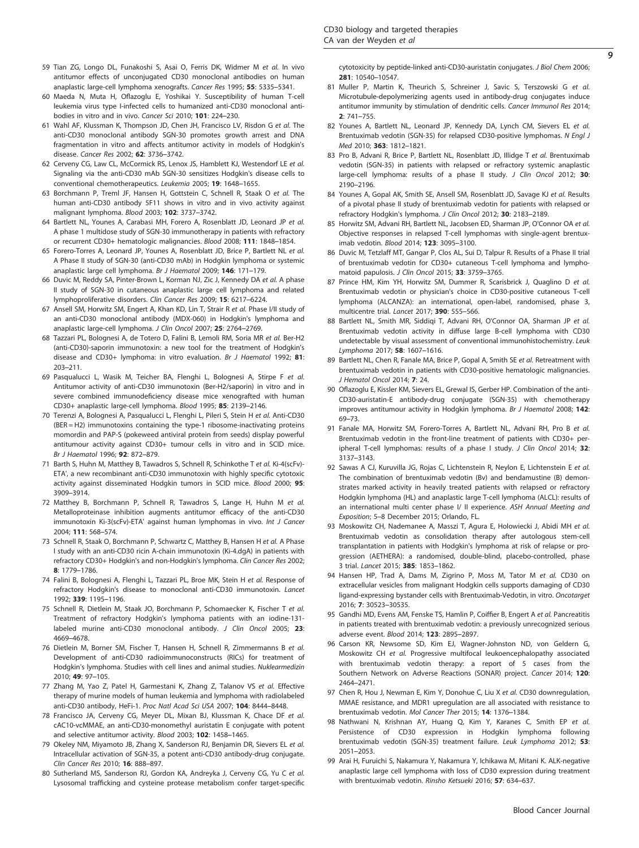- 59 Tian ZG, Longo DL, Funakoshi S, Asai O, Ferris DK, Widmer M et al. In vivo antitumor effects of unconjugated CD30 monoclonal antibodies on human anaplastic large-cell lymphoma xenografts. Cancer Res 1995; 55: 5335–5341.
- 60 Maeda N, Muta H, Oflazoglu E, Yoshikai Y. Susceptibility of human T-cell leukemia virus type I-infected cells to humanized anti-CD30 monoclonal antibodies in vitro and in vivo. Cancer Sci 2010; 101: 224–230.
- 61 Wahl AF, Klussman K, Thompson JD, Chen JH, Francisco LV, Risdon G et al. The anti-CD30 monoclonal antibody SGN-30 promotes growth arrest and DNA fragmentation in vitro and affects antitumor activity in models of Hodgkin's disease. Cancer Res 2002; 62: 3736–3742.
- 62 Cerveny CG, Law CL, McCormick RS, Lenox JS, Hamblett KJ, Westendorf LE et al. Signaling via the anti-CD30 mAb SGN-30 sensitizes Hodgkin's disease cells to conventional chemotherapeutics. Leukemia 2005; 19: 1648–1655.
- 63 Borchmann P, Treml JF, Hansen H, Gottstein C, Schnell R, Staak O et al. The human anti-CD30 antibody 5F11 shows in vitro and in vivo activity against malignant lymphoma. Blood 2003; 102: 3737–3742.
- 64 Bartlett NL, Younes A, Carabasi MH, Forero A, Rosenblatt JD, Leonard JP et al. A phase 1 multidose study of SGN-30 immunotherapy in patients with refractory or recurrent CD30+ hematologic malignancies. Blood 2008; 111: 1848–1854.
- 65 Forero-Torres A, Leonard JP, Younes A, Rosenblatt JD, Brice P, Bartlett NL et al. A Phase II study of SGN-30 (anti-CD30 mAb) in Hodgkin lymphoma or systemic anaplastic large cell lymphoma. Br J Haematol 2009; 146: 171–179.
- 66 Duvic M, Reddy SA, Pinter-Brown L, Korman NJ, Zic J, Kennedy DA et al. A phase II study of SGN-30 in cutaneous anaplastic large cell lymphoma and related lymphoproliferative disorders. Clin Cancer Res 2009; 15: 6217–6224.
- 67 Ansell SM, Horwitz SM, Engert A, Khan KD, Lin T, Strair R et al. Phase I/II study of an anti-CD30 monoclonal antibody (MDX-060) in Hodgkin's lymphoma and anaplastic large-cell lymphoma. J Clin Oncol 2007; 25: 2764–2769.
- 68 Tazzari PL, Bolognesi A, de Totero D, Falini B, Lemoli RM, Soria MR et al. Ber-H2 (anti-CD30)-saporin immunotoxin: a new tool for the treatment of Hodgkin's disease and CD30+ lymphoma: in vitro evaluation. Br J Haematol 1992; 81: 203–211.
- 69 Pasqualucci L, Wasik M, Teicher BA, Flenghi L, Bolognesi A, Stirpe F et al. Antitumor activity of anti-CD30 immunotoxin (Ber-H2/saporin) in vitro and in severe combined immunodeficiency disease mice xenografted with human CD30+ anaplastic large-cell lymphoma. Blood 1995; 85: 2139–2146.
- 70 Terenzi A, Bolognesi A, Pasqualucci L, Flenghi L, Pileri S, Stein H et al. Anti-CD30 (BER = H2) immunotoxins containing the type-1 ribosome-inactivating proteins momordin and PAP-S (pokeweed antiviral protein from seeds) display powerful antitumour activity against CD30+ tumour cells in vitro and in SCID mice. Br J Haematol 1996; 92: 872–879.
- 71 Barth S, Huhn M, Matthey B, Tawadros S, Schnell R, Schinkothe T et al. Ki-4(scFv)-ETA', a new recombinant anti-CD30 immunotoxin with highly specific cytotoxic activity against disseminated Hodgkin tumors in SCID mice. Blood 2000; 95: 3909–3914.
- 72 Matthey B, Borchmann P, Schnell R, Tawadros S, Lange H, Huhn M et al. Metalloproteinase inhibition augments antitumor efficacy of the anti-CD30 immunotoxin Ki-3(scFv)-ETA' against human lymphomas in vivo. Int J Cancer 2004; 111: 568–574.
- 73 Schnell R, Staak O, Borchmann P, Schwartz C, Matthey B, Hansen H et al. A Phase I study with an anti-CD30 ricin A-chain immunotoxin (Ki-4.dgA) in patients with refractory CD30+ Hodgkin's and non-Hodgkin's lymphoma. Clin Cancer Res 2002; 8: 1779–1786.
- 74 Falini B, Bolognesi A, Flenghi L, Tazzari PL, Broe MK, Stein H et al. Response of refractory Hodgkin's disease to monoclonal anti-CD30 immunotoxin. Lancet 1992; 339: 1195–1196.
- 75 Schnell R, Dietlein M, Staak JO, Borchmann P, Schomaecker K, Fischer T et al. Treatment of refractory Hodgkin's lymphoma patients with an iodine-131 labeled murine anti-CD30 monoclonal antibody. J Clin Oncol 2005; 23: 4669–4678.
- 76 Dietlein M, Borner SM, Fischer T, Hansen H, Schnell R, Zimmermanns B et al. Development of anti-CD30 radioimmunoconstructs (RICs) for treatment of Hodgkin's lymphoma. Studies with cell lines and animal studies. Nuklearmedizin 2010; 49: 97–105.
- 77 Zhang M, Yao Z, Patel H, Garmestani K, Zhang Z, Talanov VS et al. Effective therapy of murine models of human leukemia and lymphoma with radiolabeled anti-CD30 antibody, HeFi-1. Proc Natl Acad Sci USA 2007; 104: 8444–8448.
- 78 Francisco JA, Cerveny CG, Meyer DL, Mixan BJ, Klussman K, Chace DF et al. cAC10-vcMMAE, an anti-CD30-monomethyl auristatin E conjugate with potent and selective antitumor activity. Blood 2003; 102: 1458–1465.
- 79 Okeley NM, Miyamoto JB, Zhang X, Sanderson RJ, Benjamin DR, Sievers EL et al. Intracellular activation of SGN-35, a potent anti-CD30 antibody-drug conjugate. Clin Cancer Res 2010; 16: 888–897.
- 80 Sutherland MS, Sanderson RJ, Gordon KA, Andreyka J, Cerveny CG, Yu C et al. Lysosomal trafficking and cysteine protease metabolism confer target-specific

cytotoxicity by peptide-linked anti-CD30-auristatin conjugates. J Biol Chem 2006; 281: 10540–10547.

- 81 Muller P, Martin K, Theurich S, Schreiner J, Savic S, Terszowski G et al. Microtubule-depolymerizing agents used in antibody-drug conjugates induce antitumor immunity by stimulation of dendritic cells. Cancer Immunol Res 2014; 2: 741–755.
- 82 Younes A, Bartlett NL, Leonard JP, Kennedy DA, Lynch CM, Sievers EL et al. Brentuximab vedotin (SGN-35) for relapsed CD30-positive lymphomas. N Engl J Med 2010; 363: 1812–1821.
- 83 Pro B, Advani R, Brice P, Bartlett NL, Rosenblatt JD, Illidge T et al. Brentuximab vedotin (SGN-35) in patients with relapsed or refractory systemic anaplastic large-cell lymphoma: results of a phase II study. J Clin Oncol 2012; 30: 2190–2196.
- 84 Younes A, Gopal AK, Smith SE, Ansell SM, Rosenblatt JD, Savage KJ et al. Results of a pivotal phase II study of brentuximab vedotin for patients with relapsed or refractory Hodgkin's lymphoma. J Clin Oncol 2012; 30: 2183–2189.
- 85 Horwitz SM, Advani RH, Bartlett NL, Jacobsen ED, Sharman JP, O'Connor OA et al. Objective responses in relapsed T-cell lymphomas with single-agent brentuximab vedotin. Blood 2014; 123: 3095–3100.
- 86 Duvic M, Tetzlaff MT, Gangar P, Clos AL, Sui D, Talpur R. Results of a Phase II trial of brentuximab vedotin for CD30+ cutaneous T-cell lymphoma and lymphomatoid papulosis. J Clin Oncol 2015; 33: 3759–3765.
- 87 Prince HM, Kim YH, Horwitz SM, Dummer R, Scarisbrick J, Quaglino D et al. Brentuximab vedotin or physician's choice in CD30-positive cutaneous T-cell lymphoma (ALCANZA): an international, open-label, randomised, phase 3, multicentre trial. Lancet 2017; 390: 555–566.
- 88 Bartlett NL, Smith MR, Siddiqi T, Advani RH, O'Connor OA, Sharman JP et al. Brentuximab vedotin activity in diffuse large B-cell lymphoma with CD30 undetectable by visual assessment of conventional immunohistochemistry. Leuk Lymphoma 2017; 58: 1607–1616.
- 89 Bartlett NL, Chen R, Fanale MA, Brice P, Gopal A, Smith SE et al. Retreatment with brentuximab vedotin in patients with CD30-positive hematologic malignancies. J Hematol Oncol 2014; 7: 24.
- 90 Oflazoglu E, Kissler KM, Sievers EL, Grewal IS, Gerber HP. Combination of the anti-CD30-auristatin-E antibody-drug conjugate (SGN-35) with chemotherapy improves antitumour activity in Hodgkin lymphoma. Br J Haematol 2008; 142: 69–73.
- 91 Fanale MA, Horwitz SM, Forero-Torres A, Bartlett NL, Advani RH, Pro B et al. Brentuximab vedotin in the front-line treatment of patients with CD30+ peripheral T-cell lymphomas: results of a phase I study. J Clin Oncol 2014; 32: 3137–3143.
- 92 Sawas A CJ, Kuruvilla JG, Rojas C, Lichtenstein R, Neylon E, Lichtenstein E et al. The combination of brentuximab vedotin (Bv) and bendamustine (B) demonstrates marked activity in heavily treated patients with relapsed or refractory Hodgkin lymphoma (HL) and anaplastic large T-cell lymphoma (ALCL): results of an international multi center phase I/ II experience. ASH Annual Meeting and Exposition; 5–8 December 2015; Orlando, FL.
- 93 Moskowitz CH, Nademanee A, Masszi T, Agura E, Holowiecki J, Abidi MH et al. Brentuximab vedotin as consolidation therapy after autologous stem-cell transplantation in patients with Hodgkin's lymphoma at risk of relapse or progression (AETHERA): a randomised, double-blind, placebo-controlled, phase 3 trial. Lancet 2015; 385: 1853–1862.
- 94 Hansen HP, Trad A, Dams M, Zigrino P, Moss M, Tator M et al. CD30 on extracellular vesicles from malignant Hodgkin cells supports damaging of CD30 ligand-expressing bystander cells with Brentuximab-Vedotin, in vitro. Oncotarget 2016; 7: 30523–30535.
- 95 Gandhi MD, Evens AM, Fenske TS, Hamlin P, Coiffier B, Engert A et al. Pancreatitis in patients treated with brentuximab vedotin: a previously unrecognized serious adverse event. Blood 2014; 123: 2895–2897.
- 96 Carson KR, Newsome SD, Kim EJ, Wagner-Johnston ND, von Geldern G, Moskowitz CH et al. Progressive multifocal leukoencephalopathy associated with brentuximab vedotin therapy: a report of 5 cases from the Southern Network on Adverse Reactions (SONAR) project. Cancer 2014; 120: 2464–2471.
- 97 Chen R, Hou J, Newman E, Kim Y, Donohue C, Liu X et al. CD30 downregulation, MMAE resistance, and MDR1 upregulation are all associated with resistance to brentuximab vedotin. Mol Cancer Ther 2015; 14: 1376–1384.
- 98 Nathwani N, Krishnan AY, Huang Q, Kim Y, Karanes C, Smith EP et al. Persistence of CD30 expression in Hodgkin lymphoma following brentuximab vedotin (SGN-35) treatment failure. Leuk Lymphoma 2012; 53: 2051–2053.
- 99 Arai H, Furuichi S, Nakamura Y, Nakamura Y, Ichikawa M, Mitani K. ALK-negative anaplastic large cell lymphoma with loss of CD30 expression during treatment with brentuximab vedotin. Rinsho Ketsueki 2016; 57: 634–637.